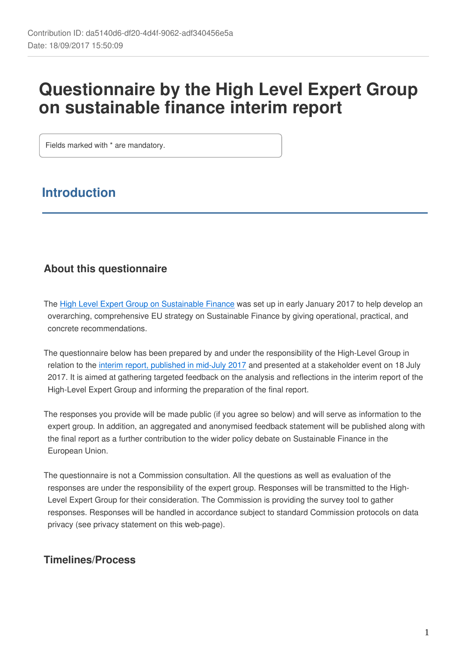# **Questionnaire by the High Level Expert Group on sustainable finance interim report**

Fields marked with \* are mandatory.

# **Introduction**

# **About this questionnaire**

The [High Level Expert Group on Sustainable Finance](https://ec.europa.eu/info/business-economy-euro/banking-and-finance/sustainable-finance_en#high-level-expert-group-on-sustainable-finance) was set up in early January 2017 to help develop an overarching, comprehensive EU strategy on Sustainable Finance by giving operational, practical, and concrete recommendations.

The questionnaire below has been prepared by and under the responsibility of the High-Level Group in relation to the [interim report, published in mid-July 2017](https://ec.europa.eu/info/sites/info/files/170713-sustainable-finance-report_en.pdf) and presented at a stakeholder event on 18 July 2017. It is aimed at gathering targeted feedback on the analysis and reflections in the interim report of the High-Level Expert Group and informing the preparation of the final report.

The responses you provide will be made public (if you agree so below) and will serve as information to the expert group. In addition, an aggregated and anonymised feedback statement will be published along with the final report as a further contribution to the wider policy debate on Sustainable Finance in the European Union.

The questionnaire is not a Commission consultation. All the questions as well as evaluation of the responses are under the responsibility of the expert group. Responses will be transmitted to the High-Level Expert Group for their consideration. The Commission is providing the survey tool to gather responses. Responses will be handled in accordance subject to standard Commission protocols on data privacy (see privacy statement on this web-page).

## **Timelines/Process**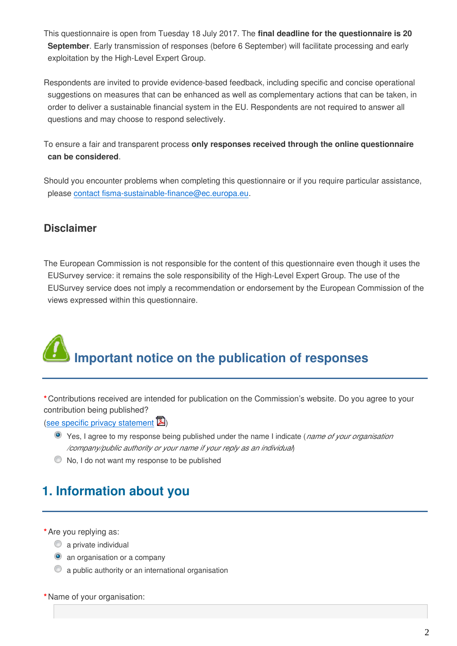This questionnaire is open from Tuesday 18 July 2017. The **final deadline for the questionnaire is 20 September**. Early transmission of responses (before 6 September) will facilitate processing and early exploitation by the High-Level Expert Group.

Respondents are invited to provide evidence-based feedback, including specific and concise operational suggestions on measures that can be enhanced as well as complementary actions that can be taken, in order to deliver a sustainable financial system in the EU. Respondents are not required to answer all questions and may choose to respond selectively.

To ensure a fair and transparent process **only responses received through the online questionnaire can be considered**.

Should you encounter problems when completing this questionnaire or if you require particular assistance, please contact fisma-sustainable-finance@ec.europa.eu.

## **Disclaimer**

The European Commission is not responsible for the content of this questionnaire even though it uses the EUSurvey service: it remains the sole responsibility of the High-Level Expert Group. The use of the EUSurvey service does not imply a recommendation or endorsement by the European Commission of the views expressed within this questionnaire.

# **Important notice on the publication of responses**

**\***Contributions received are intended for publication on the Commission's website. Do you agree to your contribution being published?

([see specific privacy statement](https://ec.europa.eu/info/sites/info/files/2017-sustainable-finance-interim-report-specific-privacy-statement_en.pdf)  $\mathbb{Z}$ )

- Yes, I agree to my response being published under the name I indicate (*name of your organisation /company/public authority or your name if your reply as an individual*)
- No, I do not want my response to be published

# **1. Information about you**

**\***Are you replying as:

- $\bullet$  a private individual
- **an organisation or a company**
- a public authority or an international organisation

**\***Name of your organisation: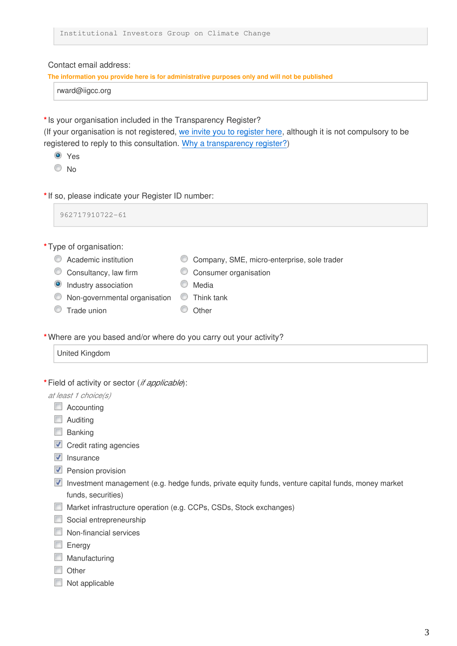Contact email address:

**The information you provide here is for administrative purposes only and will not be published**

rward@iigcc.org

**\***Is your organisation included in the Transparency Register?

(If your organisation is not registered, [we invite you to register here,](http://ec.europa.eu/transparencyregister/public/homePage.do?locale=en) although it is not compulsory to be registered to reply to this consultation. [Why a transparency register?](http://ec.europa.eu/transparencyregister/public/staticPage/displayStaticPage.do?locale=en&reference=WHY_TRANSPARENCY_REGISTER))

Yes

 $\odot$  No

**\***If so, please indicate your Register ID number:

962717910722-61

**\***Type of organisation:

- 
- Academic institution Company, SME, micro-enterprise, sole trader
- C Consultancy, law firm C Consumer organisation
- <sup>O</sup> Industry association **Media** Media
- $\bullet$  Non-governmental organisation  $\bullet$  Think tank
- O Trade union O Other
	-

**\***Where are you based and/or where do you carry out your activity?

```
United Kingdom
```
**\***Field of activity or sector (*if applicable*):

*at least 1 choice(s)*

- Accounting
- **Auditing**
- **Banking**
- $\blacksquare$  Credit rating agencies
- $\blacksquare$  Insurance
- Pension provision
- Investment management (e.g. hedge funds, private equity funds, venture capital funds, money market funds, securities)
- Market infrastructure operation (e.g. CCPs, CSDs, Stock exchanges)
- Social entrepreneurship
- Non-financial services
- **Energy**
- **Manufacturing**
- **Other**
- Not applicable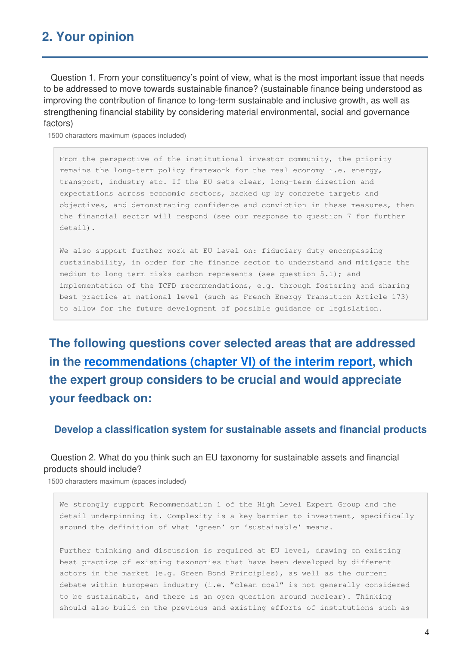# **2. Your opinion**

 Question 1. From your constituency's point of view, what is the most important issue that needs to be addressed to move towards sustainable finance? (sustainable finance being understood as improving the contribution of finance to long-term sustainable and inclusive growth, as well as strengthening financial stability by considering material environmental, social and governance factors)

1500 characters maximum (spaces included)

From the perspective of the institutional investor community, the priority remains the long-term policy framework for the real economy i.e. energy, transport, industry etc. If the EU sets clear, long-term direction and expectations across economic sectors, backed up by concrete targets and objectives, and demonstrating confidence and conviction in these measures, then the financial sector will respond (see our response to question 7 for further detail).

We also support further work at EU level on: fiduciary duty encompassing sustainability, in order for the finance sector to understand and mitigate the medium to long term risks carbon represents (see question  $5.1$ ); and implementation of the TCFD recommendations, e.g. through fostering and sharing best practice at national level (such as French Energy Transition Article 173) to allow for the future development of possible guidance or legislation.

**The following questions cover selected areas that are addressed in the [recommendations \(chapter VI\) of the interim report](https://ec.europa.eu/info/sites/info/files/170713-sustainable-finance-report_en.pdf#page=31), which the expert group considers to be crucial and would appreciate your feedback on:**

**Develop a classification system for sustainable assets and financial products**

 Question 2. What do you think such an EU taxonomy for sustainable assets and financial products should include?

1500 characters maximum (spaces included)

We strongly support Recommendation 1 of the High Level Expert Group and the detail underpinning it. Complexity is a key barrier to investment, specifically around the definition of what 'green' or 'sustainable' means.

Further thinking and discussion is required at EU level, drawing on existing best practice of existing taxonomies that have been developed by different actors in the market (e.g. Green Bond Principles), as well as the current debate within European industry (i.e. "clean coal" is not generally considered to be sustainable, and there is an open question around nuclear). Thinking should also build on the previous and existing efforts of institutions such as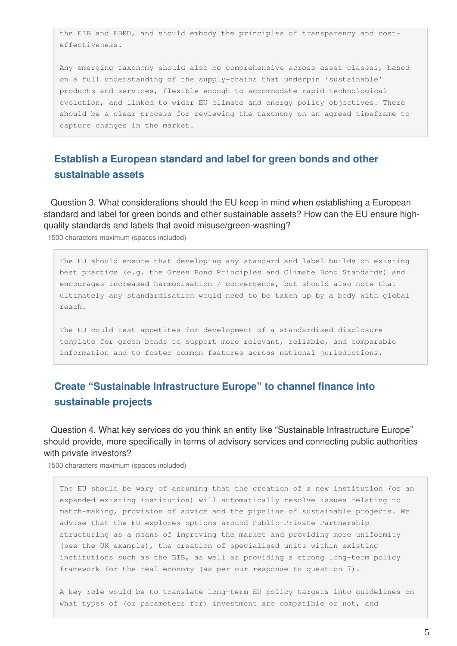the EIB and EBRD, and should embody the principles of transparency and costeffectiveness.

Any emerging taxonomy should also be comprehensive across asset classes, based on a full understanding of the supply-chains that underpin 'sustainable' products and services, flexible enough to accommodate rapid technological evolution, and linked to wider EU climate and energy policy objectives. There should be a clear process for reviewing the taxonomy on an agreed timeframe to capture changes in the market.

## **Establish a European standard and label for green bonds and other sustainable assets**

 Question 3. What considerations should the EU keep in mind when establishing a European standard and label for green bonds and other sustainable assets? How can the EU ensure highquality standards and labels that avoid misuse/green-washing?

1500 characters maximum (spaces included)

The EU should ensure that developing any standard and label builds on existing best practice (e.g. the Green Bond Principles and Climate Bond Standards) and encourages increased harmonisation / convergence, but should also note that ultimately any standardisation would need to be taken up by a body with global reach.

The EU could test appetites for development of a standardised disclosure template for green bonds to support more relevant, reliable, and comparable information and to foster common features across national jurisdictions.

## **Create "Sustainable Infrastructure Europe" to channel finance into sustainable projects**

 Question 4. What key services do you think an entity like "Sustainable Infrastructure Europe" should provide, more specifically in terms of advisory services and connecting public authorities with private investors?

1500 characters maximum (spaces included)

The EU should be wary of assuming that the creation of a new institution (or an expanded existing institution) will automatically resolve issues relating to match-making, provision of advice and the pipeline of sustainable projects. We advise that the EU explores options around Public-Private Partnership structuring as a means of improving the market and providing more uniformity (see the UK example), the creation of specialised units within existing institutions such as the EIB, as well as providing a strong long-term policy framework for the real economy (as per our response to question 7).

A key role would be to translate long-term EU policy targets into guidelines on what types of (or parameters for) investment are compatible or not, and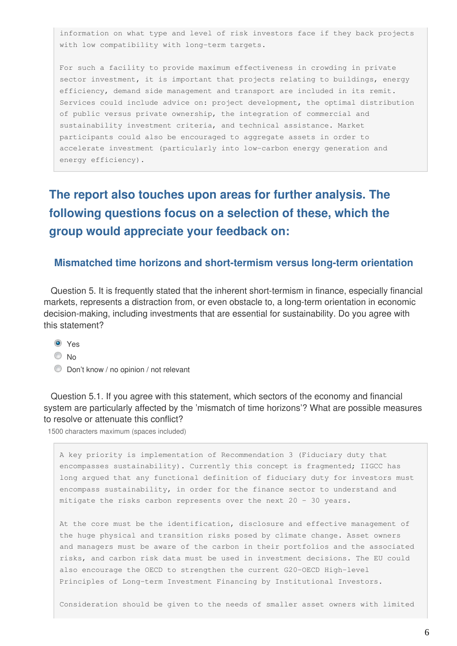information on what type and level of risk investors face if they back projects with low compatibility with long-term targets.

For such a facility to provide maximum effectiveness in crowding in private sector investment, it is important that projects relating to buildings, energy efficiency, demand side management and transport are included in its remit. Services could include advice on: project development, the optimal distribution of public versus private ownership, the integration of commercial and sustainability investment criteria, and technical assistance. Market participants could also be encouraged to aggregate assets in order to accelerate investment (particularly into low-carbon energy generation and energy efficiency).

# **The report also touches upon areas for further analysis. The following questions focus on a selection of these, which the group would appreciate your feedback on:**

#### **Mismatched time horizons and short-termism versus long-term orientation**

 Question 5. It is frequently stated that the inherent short-termism in finance, especially financial markets, represents a distraction from, or even obstacle to, a long-term orientation in economic decision-making, including investments that are essential for sustainability. Do you agree with this statement?

- <sup>O</sup> Yes
- $\odot$  No
- Don't know / no opinion / not relevant

 Question 5.1. If you agree with this statement, which sectors of the economy and financial system are particularly affected by the 'mismatch of time horizons'? What are possible measures to resolve or attenuate this conflict?

1500 characters maximum (spaces included)

A key priority is implementation of Recommendation 3 (Fiduciary duty that encompasses sustainability). Currently this concept is fragmented; IIGCC has long argued that any functional definition of fiduciary duty for investors must encompass sustainability, in order for the finance sector to understand and mitigate the risks carbon represents over the next 20 - 30 years.

At the core must be the identification, disclosure and effective management of the huge physical and transition risks posed by climate change. Asset owners and managers must be aware of the carbon in their portfolios and the associated risks, and carbon risk data must be used in investment decisions. The EU could also encourage the OECD to strengthen the current G20-OECD High-level Principles of Long-term Investment Financing by Institutional Investors.

Consideration should be given to the needs of smaller asset owners with limited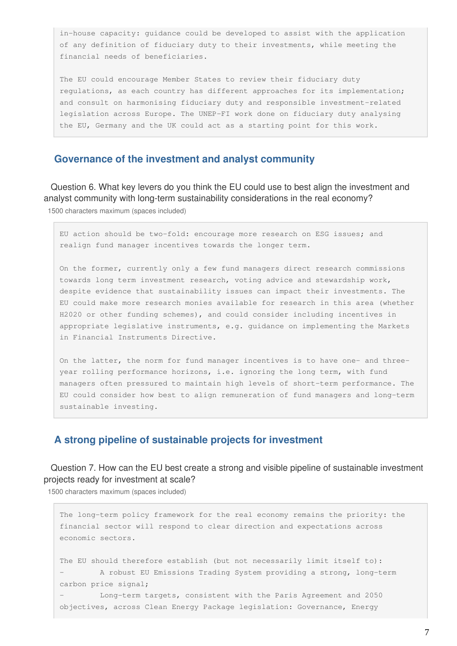in-house capacity: guidance could be developed to assist with the application of any definition of fiduciary duty to their investments, while meeting the financial needs of beneficiaries.

The EU could encourage Member States to review their fiduciary duty regulations, as each country has different approaches for its implementation; and consult on harmonising fiduciary duty and responsible investment-related legislation across Europe. The UNEP-FI work done on fiduciary duty analysing the EU, Germany and the UK could act as a starting point for this work.

#### **Governance of the investment and analyst community**

 Question 6. What key levers do you think the EU could use to best align the investment and analyst community with long-term sustainability considerations in the real economy? 1500 characters maximum (spaces included)

EU action should be two-fold: encourage more research on ESG issues; and realign fund manager incentives towards the longer term.

On the former, currently only a few fund managers direct research commissions towards long term investment research, voting advice and stewardship work, despite evidence that sustainability issues can impact their investments. The EU could make more research monies available for research in this area (whether H2020 or other funding schemes), and could consider including incentives in appropriate legislative instruments, e.g. guidance on implementing the Markets in Financial Instruments Directive.

On the latter, the norm for fund manager incentives is to have one- and threeyear rolling performance horizons, i.e. ignoring the long term, with fund managers often pressured to maintain high levels of short-term performance. The EU could consider how best to align remuneration of fund managers and long-term sustainable investing.

#### **A strong pipeline of sustainable projects for investment**

#### Question 7. How can the EU best create a strong and visible pipeline of sustainable investment projects ready for investment at scale?

1500 characters maximum (spaces included)

The long-term policy framework for the real economy remains the priority: the financial sector will respond to clear direction and expectations across economic sectors. The EU should therefore establish (but not necessarily limit itself to): - A robust EU Emissions Trading System providing a strong, long-term carbon price signal; - Long-term targets, consistent with the Paris Agreement and 2050 objectives, across Clean Energy Package legislation: Governance, Energy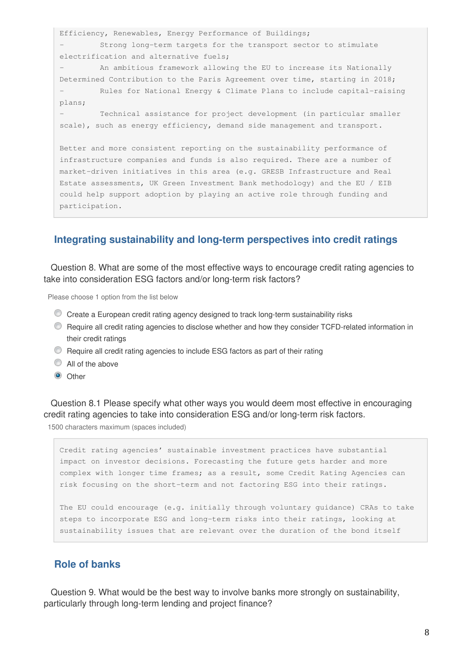Efficiency, Renewables, Energy Performance of Buildings; - Strong long-term targets for the transport sector to stimulate electrification and alternative fuels;

- An ambitious framework allowing the EU to increase its Nationally Determined Contribution to the Paris Agreement over time, starting in 2018; Rules for National Energy & Climate Plans to include capital-raising plans;

- Technical assistance for project development (in particular smaller scale), such as energy efficiency, demand side management and transport.

Better and more consistent reporting on the sustainability performance of infrastructure companies and funds is also required. There are a number of market-driven initiatives in this area (e.g. GRESB Infrastructure and Real Estate assessments, UK Green Investment Bank methodology) and the EU / EIB could help support adoption by playing an active role through funding and participation.

#### **Integrating sustainability and long-term perspectives into credit ratings**

 Question 8. What are some of the most effective ways to encourage credit rating agencies to take into consideration ESG factors and/or long-term risk factors?

Please choose 1 option from the list below

- Create a European credit rating agency designed to track long-term sustainability risks
- Require all credit rating agencies to disclose whether and how they consider TCFD-related information in their credit ratings
- Require all credit rating agencies to include ESG factors as part of their rating
- All of the above
- **O** Other

 Question 8.1 Please specify what other ways you would deem most effective in encouraging credit rating agencies to take into consideration ESG and/or long-term risk factors.

1500 characters maximum (spaces included)

Credit rating agencies' sustainable investment practices have substantial impact on investor decisions. Forecasting the future gets harder and more complex with longer time frames; as a result, some Credit Rating Agencies can risk focusing on the short-term and not factoring ESG into their ratings.

The EU could encourage (e.g. initially through voluntary guidance) CRAs to take steps to incorporate ESG and long-term risks into their ratings, looking at sustainability issues that are relevant over the duration of the bond itself

#### **Role of banks**

 Question 9. What would be the best way to involve banks more strongly on sustainability, particularly through long-term lending and project finance?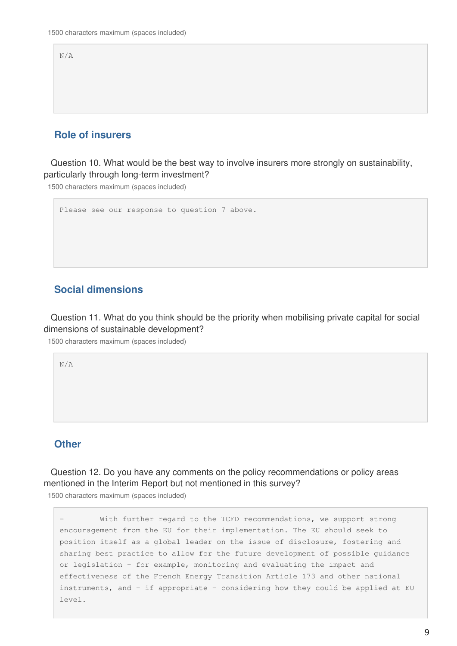N/A

### **Role of insurers**

 Question 10. What would be the best way to involve insurers more strongly on sustainability, particularly through long-term investment?

1500 characters maximum (spaces included)

```
Please see our response to question 7 above.
```
#### **Social dimensions**

 Question 11. What do you think should be the priority when mobilising private capital for social dimensions of sustainable development?

1500 characters maximum (spaces included)

N/A

#### **Other**

 Question 12. Do you have any comments on the policy recommendations or policy areas mentioned in the Interim Report but not mentioned in this survey?

1500 characters maximum (spaces included)

With further regard to the TCFD recommendations, we support strong encouragement from the EU for their implementation. The EU should seek to position itself as a global leader on the issue of disclosure, fostering and sharing best practice to allow for the future development of possible guidance or legislation – for example, monitoring and evaluating the impact and effectiveness of the French Energy Transition Article 173 and other national instruments, and – if appropriate – considering how they could be applied at EU level.